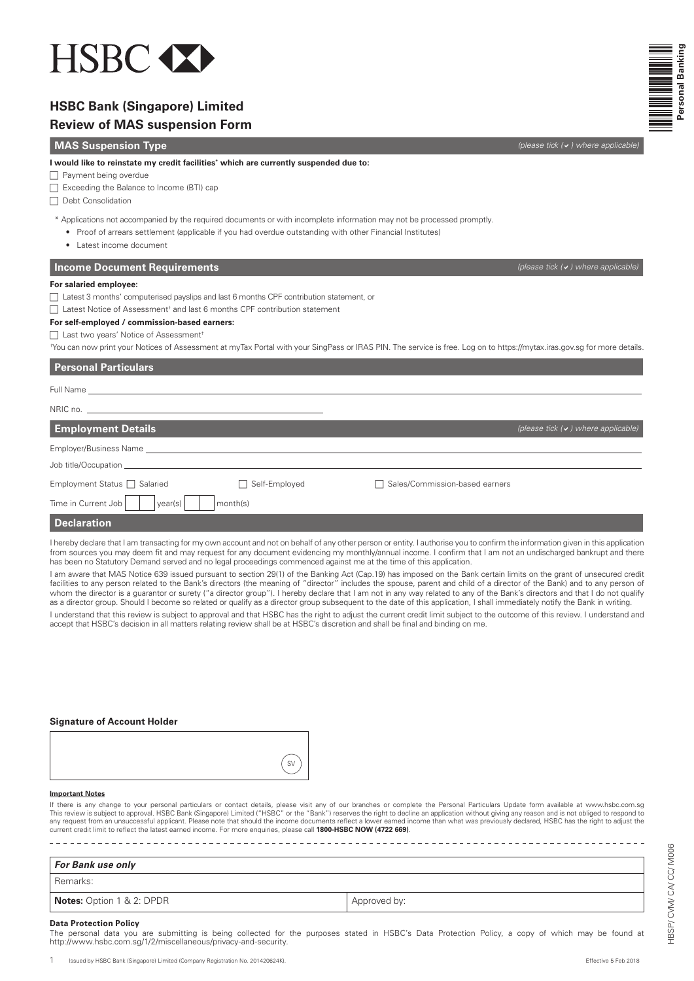

# **HSBC Bank (Singapore) Limited**

## **Review of MAS suspension Form**

## **MAS Suspension Type** *MAS* **Suspension Type <b>***(please tick (a) where applicable*

#### **I would like to reinstate my credit facilities\* which are currently suspended due to:**

 $\Box$  Payment being overdue

Exceeding the Balance to Income (BTI) cap

 $\Box$  Debt Consolidation

\* Applications not accompanied by the required documents or with incomplete information may not be processed promptly.

- Proof of arrears settlement (applicable if you had overdue outstanding with other Financial Institutes)
- Latest income document

## **Income Document Requirements** *(please tick (a) where applicable***) <b>***(please tick (a) where applicable***)**

### **For salaried employee:**

 $\Box$  Latest 3 months' computerised payslips and last 6 months CPF contribution statement, or

 $\Box$  Latest Notice of Assessment<sup>†</sup> and last 6 months CPF contribution statement

**For self-employed / commission-based earners:**

□ Last two years' Notice of Assessment

† You can now print your Notices of Assessment at myTax Portal with your SingPass or IRAS PIN. The service is free. Log on to https://mytax.iras.gov.sg for more details.

### **Personal Particulars**

| <b>Employment Details</b>              |                               |                                  | (please tick $(v)$ where applicable) |
|----------------------------------------|-------------------------------|----------------------------------|--------------------------------------|
| Employer/Business Name _______________ |                               |                                  |                                      |
|                                        |                               |                                  |                                      |
| Employment Status □ Salaried           | Self-Employed<br>$\mathsf{L}$ | □ Sales/Commission-based earners |                                      |
| Time in Current Job<br>year(s)         | month(s)                      |                                  |                                      |
| <b>Doolovation</b>                     |                               |                                  |                                      |

#### **Declaration**

I hereby declare that I am transacting for my own account and not on behalf of any other person or entity. I authorise you to confirm the information given in this application from sources you may deem fit and may request for any document evidencing my monthly/annual income. I confirm that I am not an undischarged bankrupt and there has been no Statutory Demand served and no legal proceedings commenced against me at the time of this application.

I am aware that MAS Notice 639 issued pursuant to section 29(1) of the Banking Act (Cap.19) has imposed on the Bank certain limits on the grant of unsecured credit facilities to any person related to the Bank's directors (the meaning of "director" includes the spouse, parent and child of a director of the Bank) and to any person of whom the director is a guarantor or surety ("a director group"). I hereby declare that I am not in any way related to any of the Bank's directors and that I do not qualify as a director group. Should I become so related or qualify as a director group subsequent to the date of this application, I shall immediately notify the Bank in writing.

I understand that this review is subject to approval and that HSBC has the right to adjust the current credit limit subject to the outcome of this review. I understand and accept that HSBC's decision in all matters relating review shall be at HSBC's discretion and shall be final and binding on me.

#### **Signature of Account Holder**

#### **Important Notes**

lf there is any change to your personal particulars or contact details, please visit any of our branches or complete the Personal Particulars Update form available at www.hsbc.com.sg<br>This review is subject to approval. HSB current credit limit to reflect the latest earned income. For more enquiries, please call **1800-HSBC NOW (4722 669)**.

| For Bank use only                |              |  |  |  |
|----------------------------------|--------------|--|--|--|
| Remarks:                         |              |  |  |  |
| <b>Notes:</b> Option 1 & 2: DPDR | Approved by: |  |  |  |

The personal data you are submitting is being collected for the purposes stated in HSBC's Data Protection Policy, a copy of which may be found at http://www.hsbc.com.sg/1/2/miscellaneous/privacy-and-security.

HBSP/ CVM/ CA/ CC/ M006

HBSP/CVM/CA/CC/M006